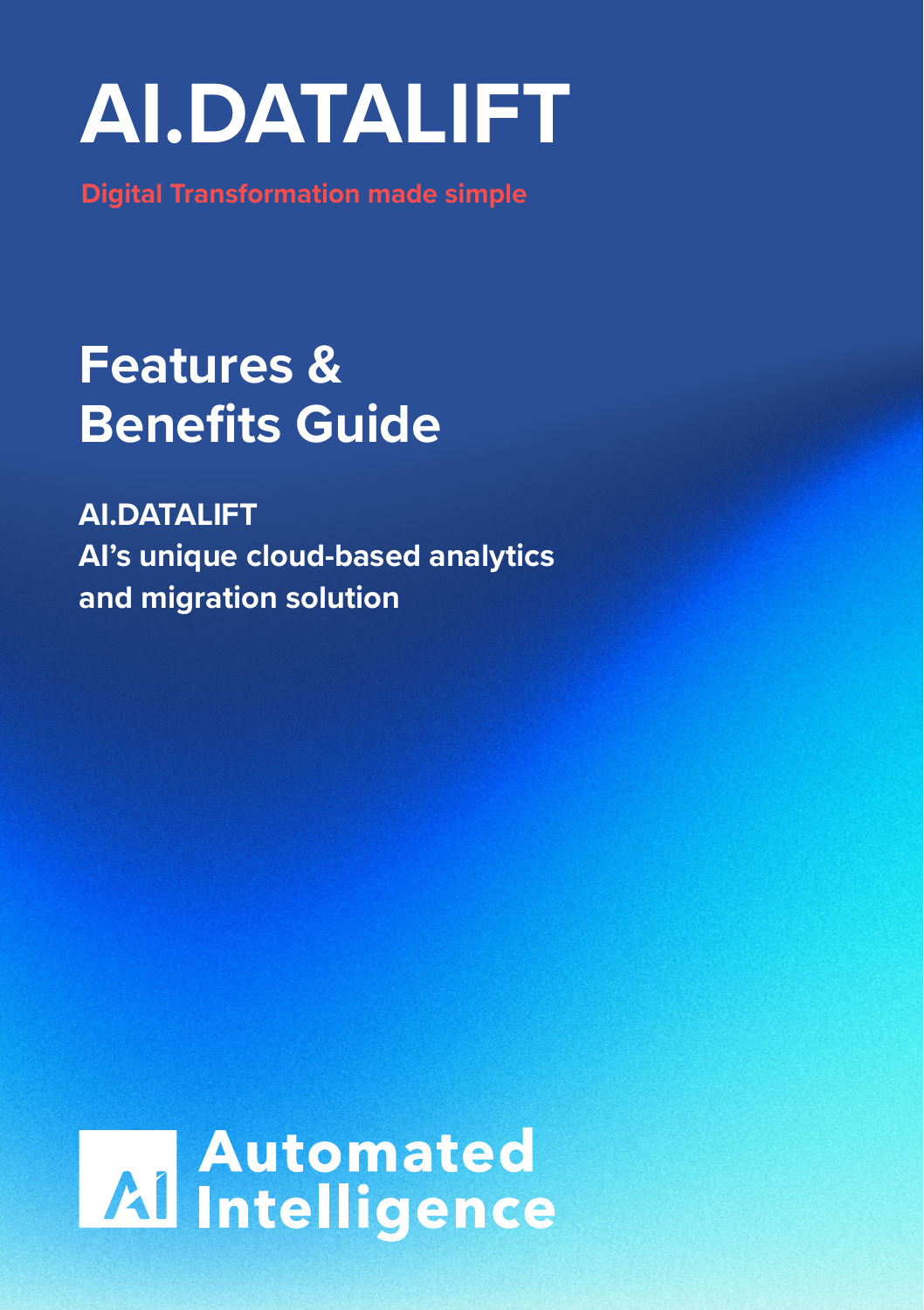# **AI.DATALIFT**

**Digital Transformation made simple**

### **Features & Benefits Guide**

**AI.DATALIFT AI's unique cloud-based analytics and migration solution**

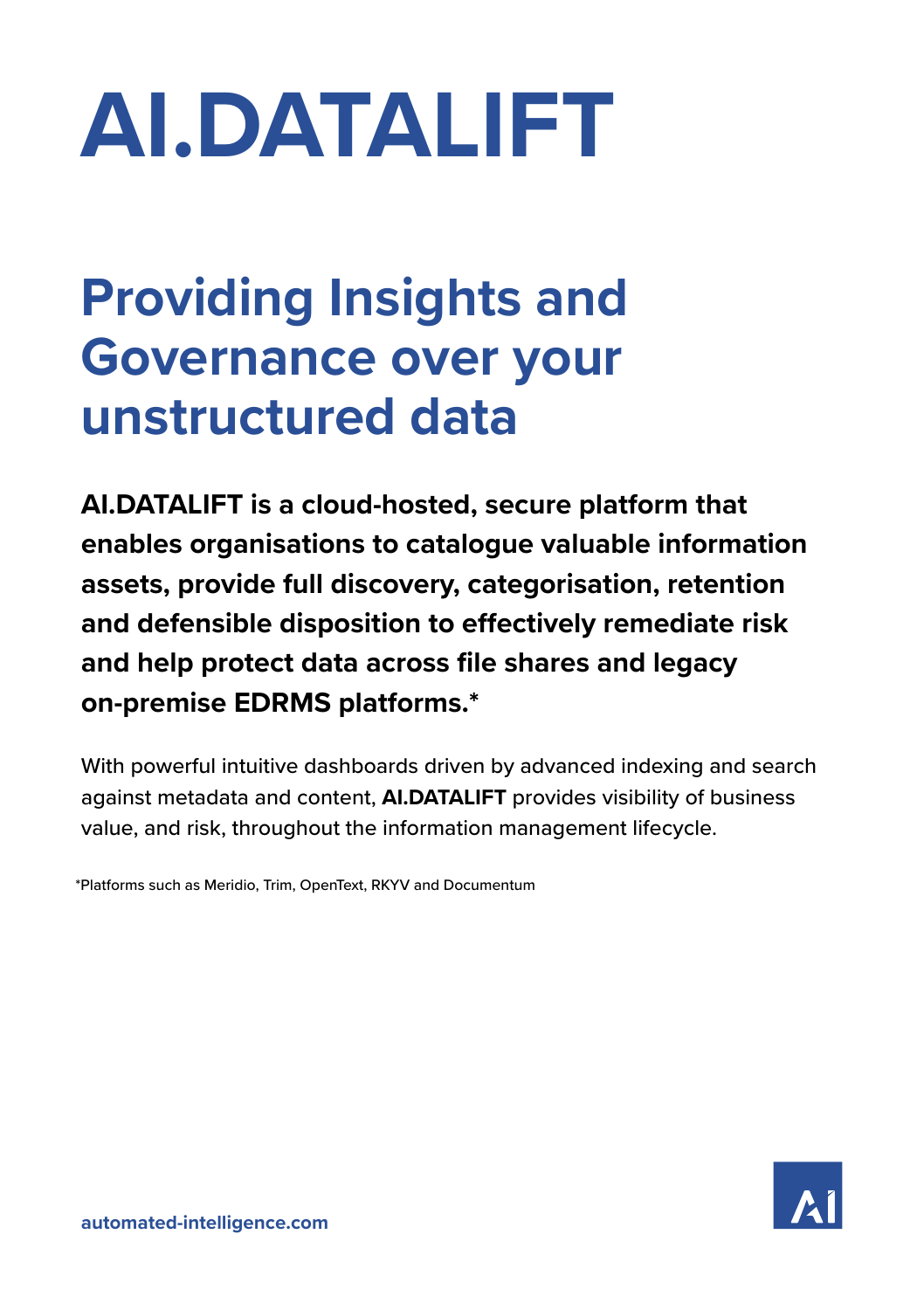# **AI.DATALIFT**

## **Providing Insights and Governance over your unstructured data**

**AI.DATALIFT is a cloud-hosted, secure platform that enables organisations to catalogue valuable information assets, provide full discovery, categorisation, retention and defensible disposition to effectively remediate risk and help protect data across file shares and legacy on-premise EDRMS platforms.\*** 

With powerful intuitive dashboards driven by advanced indexing and search against metadata and content, **AI.DATALIFT** provides visibility of business value, and risk, throughout the information management lifecycle.

\*Platforms such as Meridio, Trim, OpenText, RKYV and Documentum

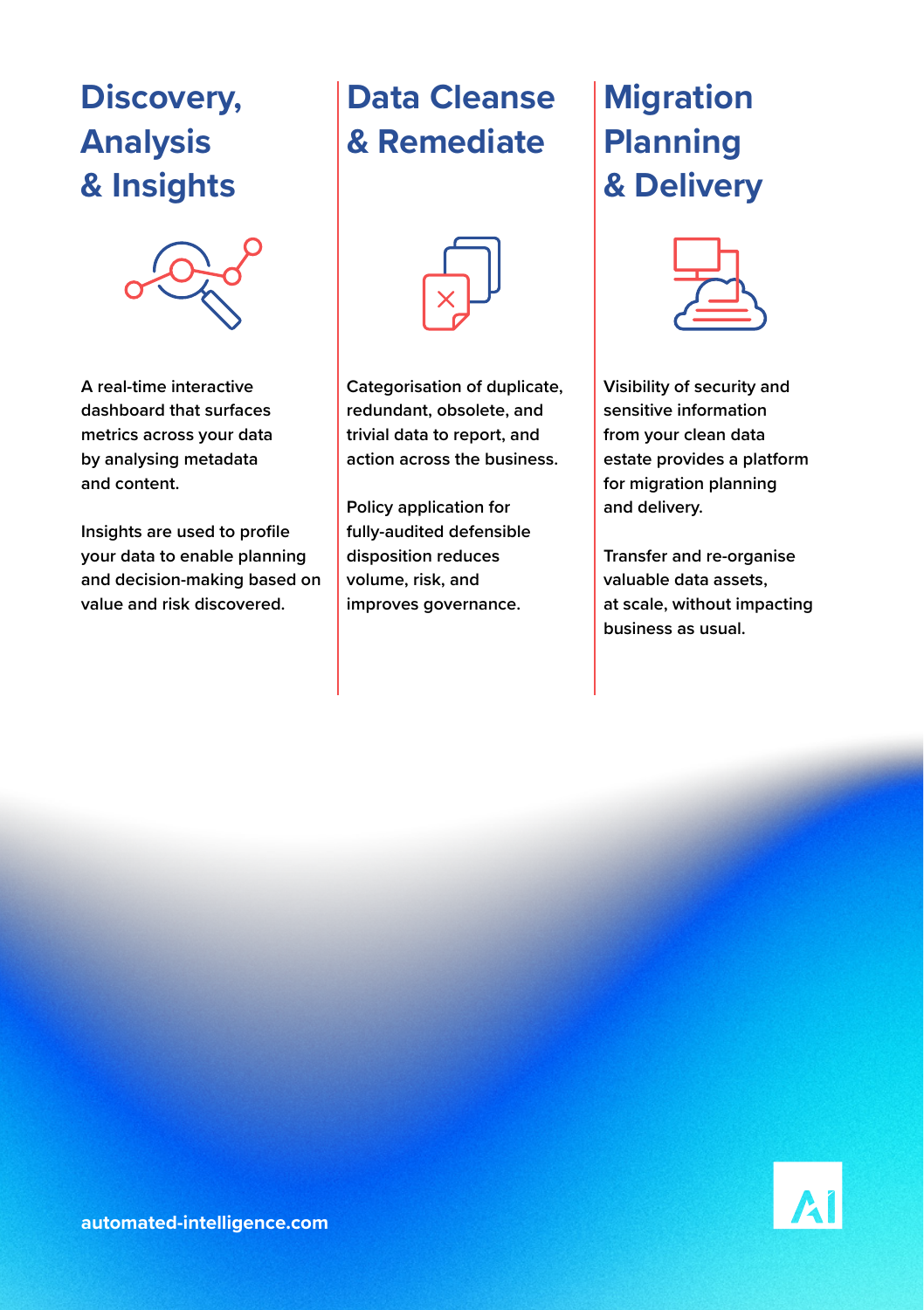#### **Discovery, Analysis & Insights**



**A real-time interactive dashboard that surfaces metrics across your data by analysing metadata and content.** 

**Insights are used to profile your data to enable planning and decision-making based on value and risk discovered.**

### **Data Cleanse & Remediate**



**Categorisation of duplicate, redundant, obsolete, and trivial data to report, and action across the business.** 

**Policy application for fully-audited defensible disposition reduces volume, risk, and improves governance.**

#### **Migration Planning & Delivery**



**Visibility of security and sensitive information from your clean data estate provides a platform for migration planning and delivery.** 

**Transfer and re-organise valuable data assets, at scale, without impacting business as usual.**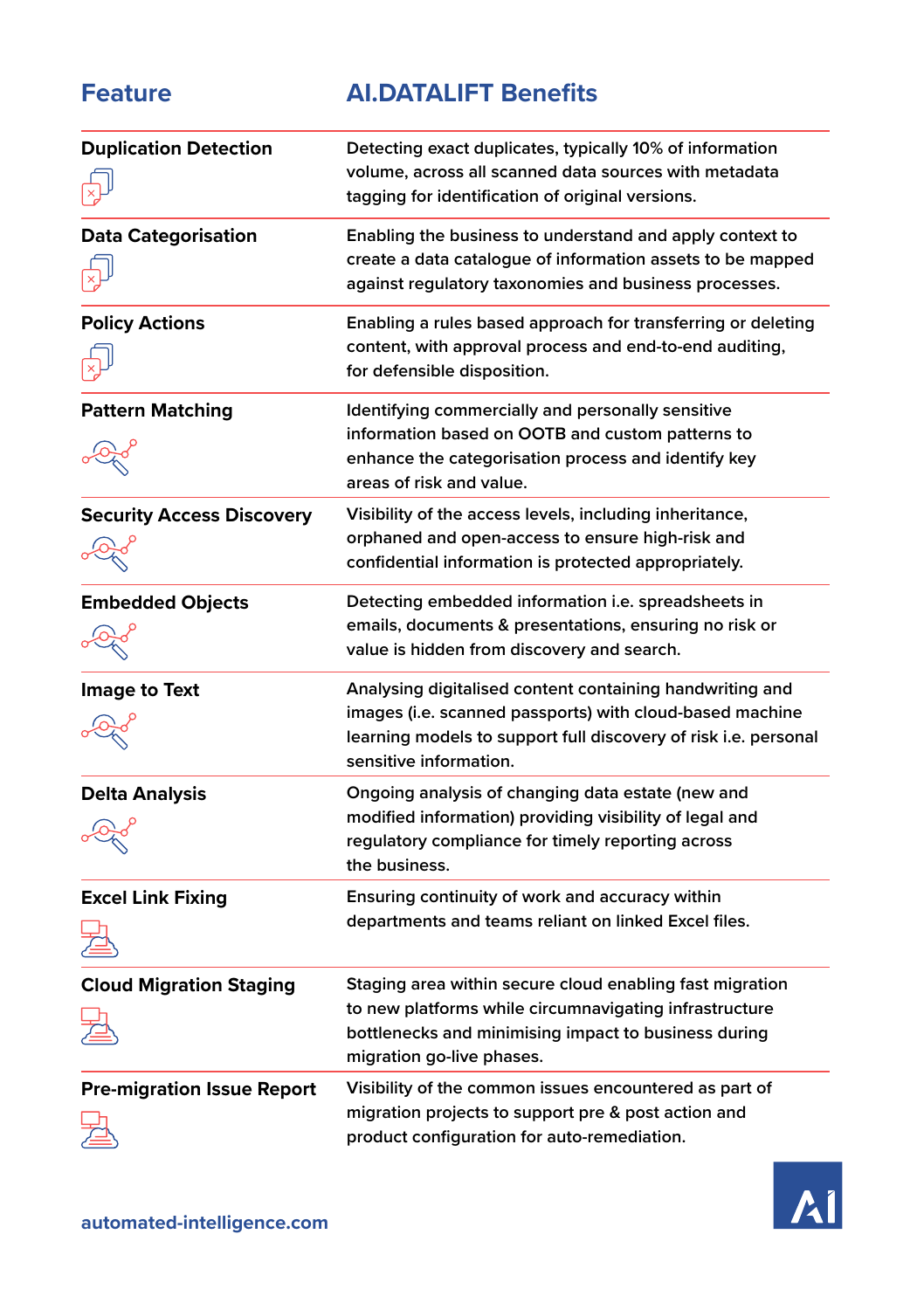#### **Feature AI.DATALIFT Benefits**

| <b>Duplication Detection</b>      | Detecting exact duplicates, typically 10% of information<br>volume, across all scanned data sources with metadata<br>tagging for identification of original versions.                                             |
|-----------------------------------|-------------------------------------------------------------------------------------------------------------------------------------------------------------------------------------------------------------------|
| <b>Data Categorisation</b>        | Enabling the business to understand and apply context to<br>create a data catalogue of information assets to be mapped<br>against regulatory taxonomies and business processes.                                   |
| <b>Policy Actions</b>             | Enabling a rules based approach for transferring or deleting<br>content, with approval process and end-to-end auditing,<br>for defensible disposition.                                                            |
| <b>Pattern Matching</b>           | Identifying commercially and personally sensitive<br>information based on OOTB and custom patterns to<br>enhance the categorisation process and identify key<br>areas of risk and value.                          |
| <b>Security Access Discovery</b>  | Visibility of the access levels, including inheritance,<br>orphaned and open-access to ensure high-risk and<br>confidential information is protected appropriately.                                               |
| <b>Embedded Objects</b>           | Detecting embedded information i.e. spreadsheets in<br>emails, documents & presentations, ensuring no risk or<br>value is hidden from discovery and search.                                                       |
| Image to Text                     | Analysing digitalised content containing handwriting and<br>images (i.e. scanned passports) with cloud-based machine<br>learning models to support full discovery of risk i.e. personal<br>sensitive information. |
| <b>Delta Analysis</b>             | Ongoing analysis of changing data estate (new and<br>modified information) providing visibility of legal and<br>regulatory compliance for timely reporting across<br>the business.                                |
| <b>Excel Link Fixing</b>          | Ensuring continuity of work and accuracy within<br>departments and teams reliant on linked Excel files.                                                                                                           |
| <b>Cloud Migration Staging</b>    | Staging area within secure cloud enabling fast migration<br>to new platforms while circumnavigating infrastructure<br>bottlenecks and minimising impact to business during<br>migration go-live phases.           |
| <b>Pre-migration Issue Report</b> | Visibility of the common issues encountered as part of<br>migration projects to support pre & post action and<br>product configuration for auto-remediation.                                                      |